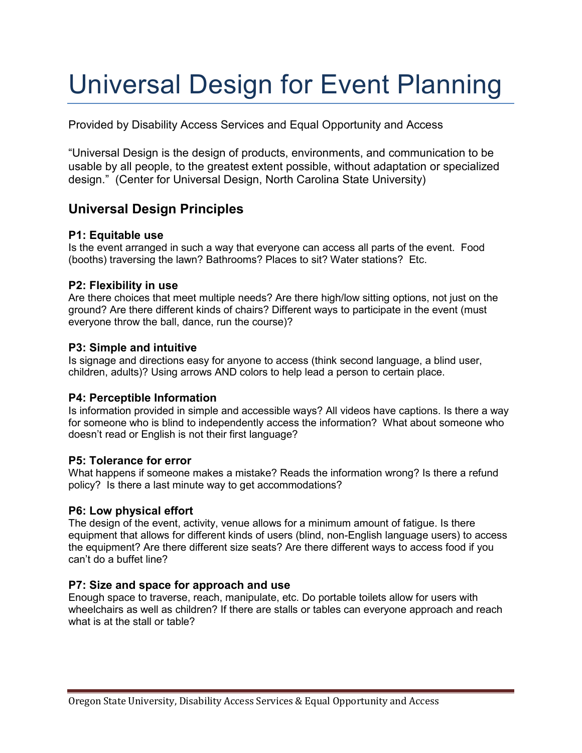# Universal Design for Event Planning

Provided by Disability Access Services and Equal Opportunity and Access

"Universal Design is the design of products, environments, and communication to be usable by all people, to the greatest extent possible, without adaptation or specialized design." (Center for Universal Design, North Carolina State University)

# **Universal Design Principles**

#### **P1: Equitable use**

Is the event arranged in such a way that everyone can access all parts of the event. Food (booths) traversing the lawn? Bathrooms? Places to sit? Water stations? Etc.

#### **P2: Flexibility in use**

Are there choices that meet multiple needs? Are there high/low sitting options, not just on the ground? Are there different kinds of chairs? Different ways to participate in the event (must everyone throw the ball, dance, run the course)?

#### **P3: Simple and intuitive**

Is signage and directions easy for anyone to access (think second language, a blind user, children, adults)? Using arrows AND colors to help lead a person to certain place.

## **P4: Perceptible Information**

Is information provided in simple and accessible ways? All videos have captions. Is there a way for someone who is blind to independently access the information? What about someone who doesn't read or English is not their first language?

#### **P5: Tolerance for error**

What happens if someone makes a mistake? Reads the information wrong? Is there a refund policy? Is there a last minute way to get accommodations?

#### **P6: Low physical effort**

The design of the event, activity, venue allows for a minimum amount of fatigue. Is there equipment that allows for different kinds of users (blind, non-English language users) to access the equipment? Are there different size seats? Are there different ways to access food if you can't do a buffet line?

#### **P7: Size and space for approach and use**

Enough space to traverse, reach, manipulate, etc. Do portable toilets allow for users with wheelchairs as well as children? If there are stalls or tables can everyone approach and reach what is at the stall or table?